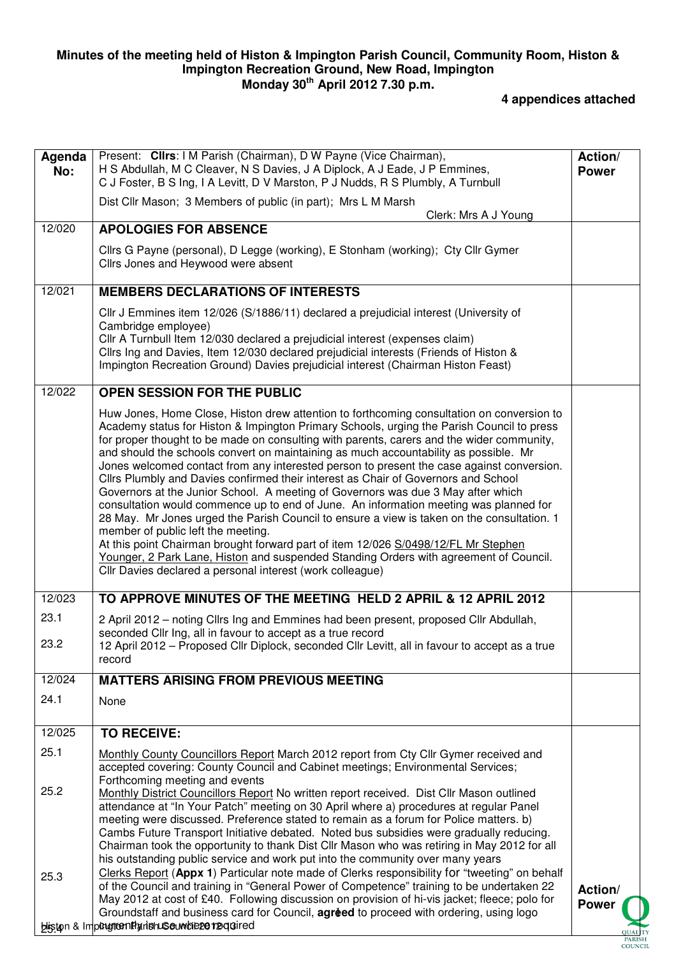#### **Minutes of the meeting held of Histon & Impington Parish Council, Community Room, Histon & Impington Recreation Ground, New Road, Impington Monday 30th April 2012 7.30 p.m.**

## **4 appendices attached**

| Agenda<br>No: | Present: Clirs: I M Parish (Chairman), D W Payne (Vice Chairman),<br>H S Abdullah, M C Cleaver, N S Davies, J A Diplock, A J Eade, J P Emmines,<br>C J Foster, B S Ing, I A Levitt, D V Marston, P J Nudds, R S Plumbly, A Turnbull                                                                                                                                                                                                                                                                                                                                                                                                                                                                                                                                                                                                                                                                                                                                                                                                                                                                                         | Action/<br><b>Power</b> |
|---------------|-----------------------------------------------------------------------------------------------------------------------------------------------------------------------------------------------------------------------------------------------------------------------------------------------------------------------------------------------------------------------------------------------------------------------------------------------------------------------------------------------------------------------------------------------------------------------------------------------------------------------------------------------------------------------------------------------------------------------------------------------------------------------------------------------------------------------------------------------------------------------------------------------------------------------------------------------------------------------------------------------------------------------------------------------------------------------------------------------------------------------------|-------------------------|
|               | Dist Cllr Mason; 3 Members of public (in part); Mrs L M Marsh<br>Clerk: Mrs A J Young                                                                                                                                                                                                                                                                                                                                                                                                                                                                                                                                                                                                                                                                                                                                                                                                                                                                                                                                                                                                                                       |                         |
| 12/020        | <b>APOLOGIES FOR ABSENCE</b>                                                                                                                                                                                                                                                                                                                                                                                                                                                                                                                                                                                                                                                                                                                                                                                                                                                                                                                                                                                                                                                                                                |                         |
|               | Cllrs G Payne (personal), D Legge (working), E Stonham (working); Cty Cllr Gymer<br>Cllrs Jones and Heywood were absent                                                                                                                                                                                                                                                                                                                                                                                                                                                                                                                                                                                                                                                                                                                                                                                                                                                                                                                                                                                                     |                         |
| 12/021        | <b>MEMBERS DECLARATIONS OF INTERESTS</b>                                                                                                                                                                                                                                                                                                                                                                                                                                                                                                                                                                                                                                                                                                                                                                                                                                                                                                                                                                                                                                                                                    |                         |
|               | CIIr J Emmines item 12/026 (S/1886/11) declared a prejudicial interest (University of<br>Cambridge employee)<br>Cllr A Turnbull Item 12/030 declared a prejudicial interest (expenses claim)<br>Cllrs Ing and Davies, Item 12/030 declared prejudicial interests (Friends of Histon &<br>Impington Recreation Ground) Davies prejudicial interest (Chairman Histon Feast)                                                                                                                                                                                                                                                                                                                                                                                                                                                                                                                                                                                                                                                                                                                                                   |                         |
| 12/022        | <b>OPEN SESSION FOR THE PUBLIC</b>                                                                                                                                                                                                                                                                                                                                                                                                                                                                                                                                                                                                                                                                                                                                                                                                                                                                                                                                                                                                                                                                                          |                         |
|               | Huw Jones, Home Close, Histon drew attention to forthcoming consultation on conversion to<br>Academy status for Histon & Impington Primary Schools, urging the Parish Council to press<br>for proper thought to be made on consulting with parents, carers and the wider community,<br>and should the schools convert on maintaining as much accountability as possible. Mr<br>Jones welcomed contact from any interested person to present the case against conversion.<br>Cllrs Plumbly and Davies confirmed their interest as Chair of Governors and School<br>Governors at the Junior School. A meeting of Governors was due 3 May after which<br>consultation would commence up to end of June. An information meeting was planned for<br>28 May. Mr Jones urged the Parish Council to ensure a view is taken on the consultation. 1<br>member of public left the meeting.<br>At this point Chairman brought forward part of item 12/026 S/0498/12/FL Mr Stephen<br>Younger, 2 Park Lane, Histon and suspended Standing Orders with agreement of Council.<br>Cllr Davies declared a personal interest (work colleague) |                         |
| 12/023        | TO APPROVE MINUTES OF THE MEETING HELD 2 APRIL & 12 APRIL 2012                                                                                                                                                                                                                                                                                                                                                                                                                                                                                                                                                                                                                                                                                                                                                                                                                                                                                                                                                                                                                                                              |                         |
| 23.1<br>23.2  | 2 April 2012 - noting Cllrs Ing and Emmines had been present, proposed Cllr Abdullah,<br>seconded Cllr Ing, all in favour to accept as a true record<br>12 April 2012 – Proposed Cllr Diplock, seconded Cllr Levitt, all in favour to accept as a true<br>record                                                                                                                                                                                                                                                                                                                                                                                                                                                                                                                                                                                                                                                                                                                                                                                                                                                            |                         |
| 12/024        | <b>MATTERS ARISING FROM PREVIOUS MEETING</b>                                                                                                                                                                                                                                                                                                                                                                                                                                                                                                                                                                                                                                                                                                                                                                                                                                                                                                                                                                                                                                                                                |                         |
| 24.1          | None                                                                                                                                                                                                                                                                                                                                                                                                                                                                                                                                                                                                                                                                                                                                                                                                                                                                                                                                                                                                                                                                                                                        |                         |
| 12/025        | <b>TO RECEIVE:</b>                                                                                                                                                                                                                                                                                                                                                                                                                                                                                                                                                                                                                                                                                                                                                                                                                                                                                                                                                                                                                                                                                                          |                         |
| 25.1          | Monthly County Councillors Report March 2012 report from Cty Cllr Gymer received and<br>accepted covering: County Council and Cabinet meetings; Environmental Services;<br>Forthcoming meeting and events                                                                                                                                                                                                                                                                                                                                                                                                                                                                                                                                                                                                                                                                                                                                                                                                                                                                                                                   |                         |
| 25.2          | Monthly District Councillors Report No written report received. Dist Cllr Mason outlined<br>attendance at "In Your Patch" meeting on 30 April where a) procedures at regular Panel<br>meeting were discussed. Preference stated to remain as a forum for Police matters. b)<br>Cambs Future Transport Initiative debated. Noted bus subsidies were gradually reducing.<br>Chairman took the opportunity to thank Dist Cllr Mason who was retiring in May 2012 for all<br>his outstanding public service and work put into the community over many years                                                                                                                                                                                                                                                                                                                                                                                                                                                                                                                                                                     |                         |
| 25.3          | Clerks Report (Appx 1) Particular note made of Clerks responsibility for "tweeting" on behalf<br>of the Council and training in "General Power of Competence" training to be undertaken 22<br>May 2012 at cost of £40. Following discussion on provision of hi-vis jacket; fleece; polo for<br>Groundstaff and business card for Council, agreed to proceed with ordering, using logo<br>biston & Imputution Harishuse undieze required                                                                                                                                                                                                                                                                                                                                                                                                                                                                                                                                                                                                                                                                                     | Action/<br><b>Power</b> |
|               |                                                                                                                                                                                                                                                                                                                                                                                                                                                                                                                                                                                                                                                                                                                                                                                                                                                                                                                                                                                                                                                                                                                             | COUNCE                  |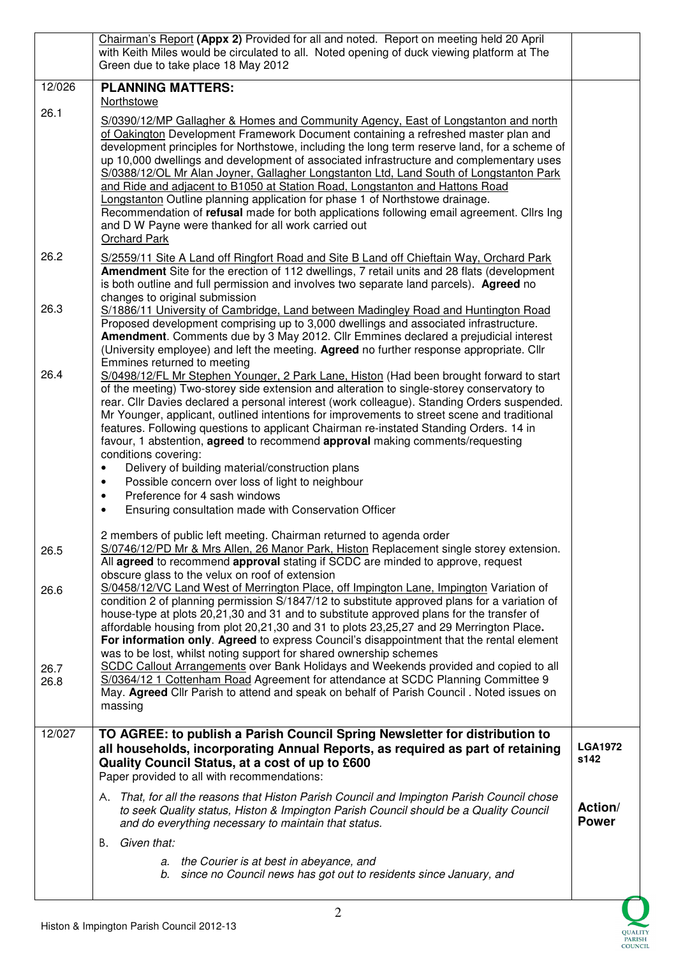|              | Chairman's Report (Appx 2) Provided for all and noted. Report on meeting held 20 April<br>with Keith Miles would be circulated to all. Noted opening of duck viewing platform at The                                                                                                                                                                                                                                                                                                                                                                                                                                                                                                                                                                                                                     |                         |
|--------------|----------------------------------------------------------------------------------------------------------------------------------------------------------------------------------------------------------------------------------------------------------------------------------------------------------------------------------------------------------------------------------------------------------------------------------------------------------------------------------------------------------------------------------------------------------------------------------------------------------------------------------------------------------------------------------------------------------------------------------------------------------------------------------------------------------|-------------------------|
|              | Green due to take place 18 May 2012                                                                                                                                                                                                                                                                                                                                                                                                                                                                                                                                                                                                                                                                                                                                                                      |                         |
| 12/026       | <b>PLANNING MATTERS:</b><br>Northstowe                                                                                                                                                                                                                                                                                                                                                                                                                                                                                                                                                                                                                                                                                                                                                                   |                         |
| 26.1         | S/0390/12/MP Gallagher & Homes and Community Agency, East of Longstanton and north<br>of Oakington Development Framework Document containing a refreshed master plan and<br>development principles for Northstowe, including the long term reserve land, for a scheme of<br>up 10,000 dwellings and development of associated infrastructure and complementary uses<br>S/0388/12/OL Mr Alan Joyner, Gallagher Longstanton Ltd, Land South of Longstanton Park<br>and Ride and adjacent to B1050 at Station Road, Longstanton and Hattons Road<br>Longstanton Outline planning application for phase 1 of Northstowe drainage.<br>Recommendation of refusal made for both applications following email agreement. Cllrs Ing                                                                               |                         |
|              | and D W Payne were thanked for all work carried out<br>Orchard Park                                                                                                                                                                                                                                                                                                                                                                                                                                                                                                                                                                                                                                                                                                                                      |                         |
| 26.2         | S/2559/11 Site A Land off Ringfort Road and Site B Land off Chieftain Way, Orchard Park<br>Amendment Site for the erection of 112 dwellings, 7 retail units and 28 flats (development<br>is both outline and full permission and involves two separate land parcels). Agreed no<br>changes to original submission                                                                                                                                                                                                                                                                                                                                                                                                                                                                                        |                         |
| 26.3         | S/1886/11 University of Cambridge, Land between Madingley Road and Huntington Road<br>Proposed development comprising up to 3,000 dwellings and associated infrastructure.<br>Amendment. Comments due by 3 May 2012. Cllr Emmines declared a prejudicial interest<br>(University employee) and left the meeting. Agreed no further response appropriate. Cllr<br>Emmines returned to meeting                                                                                                                                                                                                                                                                                                                                                                                                             |                         |
| 26.4         | S/0498/12/FL Mr Stephen Younger, 2 Park Lane, Histon (Had been brought forward to start<br>of the meeting) Two-storey side extension and alteration to single-storey conservatory to<br>rear. Cllr Davies declared a personal interest (work colleague). Standing Orders suspended.<br>Mr Younger, applicant, outlined intentions for improvements to street scene and traditional<br>features. Following questions to applicant Chairman re-instated Standing Orders. 14 in<br>favour, 1 abstention, agreed to recommend approval making comments/requesting<br>conditions covering:<br>Delivery of building material/construction plans<br>Possible concern over loss of light to neighbour<br>٠<br>Preference for 4 sash windows<br>$\bullet$<br>Ensuring consultation made with Conservation Officer |                         |
| 26.5         | 2 members of public left meeting. Chairman returned to agenda order<br>S/0746/12/PD Mr & Mrs Allen, 26 Manor Park, Histon Replacement single storey extension.                                                                                                                                                                                                                                                                                                                                                                                                                                                                                                                                                                                                                                           |                         |
| 26.6         | All agreed to recommend approval stating if SCDC are minded to approve, request<br>obscure glass to the velux on roof of extension<br>S/0458/12/VC Land West of Merrington Place, off Impington Lane, Impington Variation of                                                                                                                                                                                                                                                                                                                                                                                                                                                                                                                                                                             |                         |
| 26.7<br>26.8 | condition 2 of planning permission S/1847/12 to substitute approved plans for a variation of<br>house-type at plots 20,21,30 and 31 and to substitute approved plans for the transfer of<br>affordable housing from plot 20,21,30 and 31 to plots 23,25,27 and 29 Merrington Place.<br>For information only. Agreed to express Council's disappointment that the rental element<br>was to be lost, whilst noting support for shared ownership schemes<br>SCDC Callout Arrangements over Bank Holidays and Weekends provided and copied to all<br>S/0364/12 1 Cottenham Road Agreement for attendance at SCDC Planning Committee 9<br>May. Agreed Cllr Parish to attend and speak on behalf of Parish Council . Noted issues on<br>massing                                                                |                         |
| 12/027       | TO AGREE: to publish a Parish Council Spring Newsletter for distribution to<br>all households, incorporating Annual Reports, as required as part of retaining<br>Quality Council Status, at a cost of up to £600<br>Paper provided to all with recommendations:                                                                                                                                                                                                                                                                                                                                                                                                                                                                                                                                          | <b>LGA1972</b><br>s142  |
|              | A. That, for all the reasons that Histon Parish Council and Impington Parish Council chose<br>to seek Quality status, Histon & Impington Parish Council should be a Quality Council<br>and do everything necessary to maintain that status.                                                                                                                                                                                                                                                                                                                                                                                                                                                                                                                                                              | Action/<br><b>Power</b> |
|              | Given that:<br>В.                                                                                                                                                                                                                                                                                                                                                                                                                                                                                                                                                                                                                                                                                                                                                                                        |                         |
|              | a. the Courier is at best in abeyance, and<br>b. since no Council news has got out to residents since January, and                                                                                                                                                                                                                                                                                                                                                                                                                                                                                                                                                                                                                                                                                       |                         |

QUALITY<br>PARISH<br>COUNCIL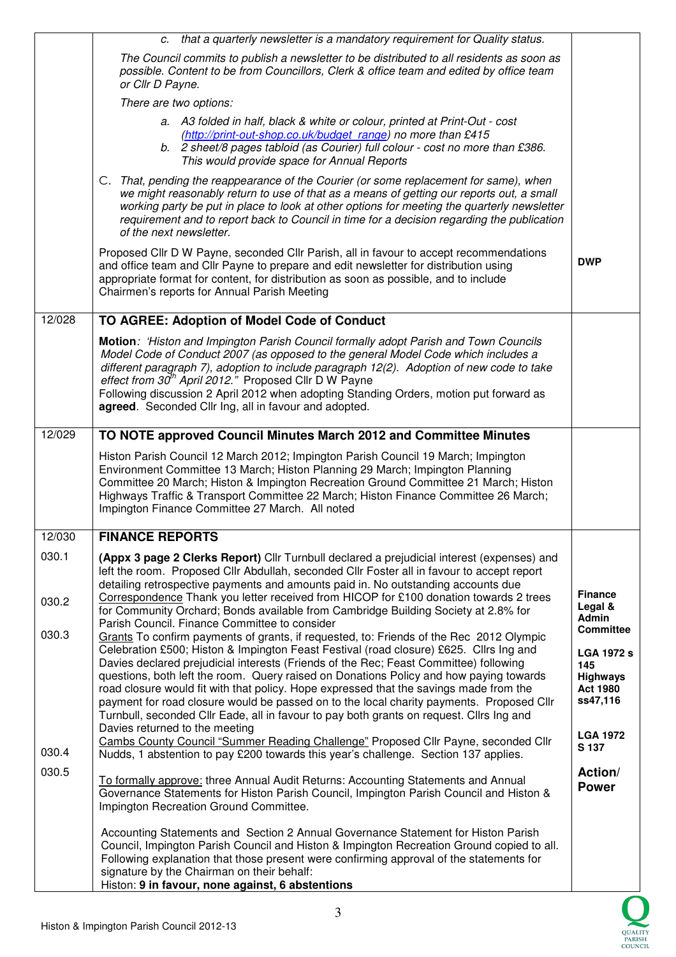|        | c. that a quarterly newsletter is a mandatory requirement for Quality status.                                                                                                                                                                                                                                                                                                                                                                                                                                                                                                                                                                                                            |                                                                            |
|--------|------------------------------------------------------------------------------------------------------------------------------------------------------------------------------------------------------------------------------------------------------------------------------------------------------------------------------------------------------------------------------------------------------------------------------------------------------------------------------------------------------------------------------------------------------------------------------------------------------------------------------------------------------------------------------------------|----------------------------------------------------------------------------|
|        | The Council commits to publish a newsletter to be distributed to all residents as soon as<br>possible. Content to be from Councillors, Clerk & office team and edited by office team<br>or Cllr D Payne.                                                                                                                                                                                                                                                                                                                                                                                                                                                                                 |                                                                            |
|        | There are two options:                                                                                                                                                                                                                                                                                                                                                                                                                                                                                                                                                                                                                                                                   |                                                                            |
|        | a. A3 folded in half, black & white or colour, printed at Print-Out - cost<br>(http://print-out-shop.co.uk/budget_range) no more than £415<br>b. 2 sheet/8 pages tabloid (as Courier) full colour - cost no more than £386.<br>This would provide space for Annual Reports                                                                                                                                                                                                                                                                                                                                                                                                               |                                                                            |
|        | C. That, pending the reappearance of the Courier (or some replacement for same), when<br>we might reasonably return to use of that as a means of getting our reports out, a small<br>working party be put in place to look at other options for meeting the quarterly newsletter<br>requirement and to report back to Council in time for a decision regarding the publication<br>of the next newsletter.                                                                                                                                                                                                                                                                                |                                                                            |
|        | Proposed Cllr D W Payne, seconded Cllr Parish, all in favour to accept recommendations<br>and office team and Cllr Payne to prepare and edit newsletter for distribution using<br>appropriate format for content, for distribution as soon as possible, and to include<br>Chairmen's reports for Annual Parish Meeting                                                                                                                                                                                                                                                                                                                                                                   | <b>DWP</b>                                                                 |
| 12/028 | TO AGREE: Adoption of Model Code of Conduct                                                                                                                                                                                                                                                                                                                                                                                                                                                                                                                                                                                                                                              |                                                                            |
|        | Motion: 'Histon and Impington Parish Council formally adopt Parish and Town Councils<br>Model Code of Conduct 2007 (as opposed to the general Model Code which includes a<br>different paragraph 7), adoption to include paragraph 12(2). Adoption of new code to take<br>effect from 30 <sup>th</sup> April 2012." Proposed Cllr D W Payne<br>Following discussion 2 April 2012 when adopting Standing Orders, motion put forward as<br>agreed. Seconded Cllr Ing, all in favour and adopted.                                                                                                                                                                                           |                                                                            |
| 12/029 | TO NOTE approved Council Minutes March 2012 and Committee Minutes                                                                                                                                                                                                                                                                                                                                                                                                                                                                                                                                                                                                                        |                                                                            |
|        | Histon Parish Council 12 March 2012; Impington Parish Council 19 March; Impington<br>Environment Committee 13 March; Histon Planning 29 March; Impington Planning<br>Committee 20 March; Histon & Impington Recreation Ground Committee 21 March; Histon<br>Highways Traffic & Transport Committee 22 March; Histon Finance Committee 26 March;<br>Impington Finance Committee 27 March. All noted                                                                                                                                                                                                                                                                                       |                                                                            |
| 12/030 | <b>FINANCE REPORTS</b>                                                                                                                                                                                                                                                                                                                                                                                                                                                                                                                                                                                                                                                                   |                                                                            |
| 030.1  | (Appx 3 page 2 Clerks Report) Cllr Turnbull declared a prejudicial interest (expenses) and<br>left the room. Proposed Cllr Abdullah, seconded Cllr Foster all in favour to accept report<br>detailing retrospective payments and amounts paid in. No outstanding accounts due<br>Correspondence Thank you letter received from HICOP for £100 donation towards 2 trees                                                                                                                                                                                                                                                                                                                   | <b>Finance</b>                                                             |
| 030.2  | for Community Orchard; Bonds available from Cambridge Building Society at 2.8% for<br>Parish Council. Finance Committee to consider                                                                                                                                                                                                                                                                                                                                                                                                                                                                                                                                                      | Legal &<br><b>Admin</b><br><b>Committee</b>                                |
| 030.3  | Grants To confirm payments of grants, if requested, to: Friends of the Rec 2012 Olympic<br>Celebration £500; Histon & Impington Feast Festival (road closure) £625. Cllrs Ing and<br>Davies declared prejudicial interests (Friends of the Rec; Feast Committee) following<br>questions, both left the room. Query raised on Donations Policy and how paying towards<br>road closure would fit with that policy. Hope expressed that the savings made from the<br>payment for road closure would be passed on to the local charity payments. Proposed Cllr<br>Turnbull, seconded Cllr Eade, all in favour to pay both grants on request. Cllrs Ing and<br>Davies returned to the meeting | <b>LGA 1972 s</b><br>145<br><b>Highways</b><br><b>Act 1980</b><br>ss47,116 |
| 030.4  | Cambs County Council "Summer Reading Challenge" Proposed Cllr Payne, seconded Cllr<br>Nudds, 1 abstention to pay £200 towards this year's challenge. Section 137 applies.                                                                                                                                                                                                                                                                                                                                                                                                                                                                                                                | <b>LGA 1972</b><br>S 137                                                   |
| 030.5  | To formally approve: three Annual Audit Returns: Accounting Statements and Annual<br>Governance Statements for Histon Parish Council, Impington Parish Council and Histon &<br>Impington Recreation Ground Committee.                                                                                                                                                                                                                                                                                                                                                                                                                                                                    | Action/<br><b>Power</b>                                                    |
|        | Accounting Statements and Section 2 Annual Governance Statement for Histon Parish<br>Council, Impington Parish Council and Histon & Impington Recreation Ground copied to all.<br>Following explanation that those present were confirming approval of the statements for<br>signature by the Chairman on their behalf:<br>Histon: 9 in favour, none against, 6 abstentions                                                                                                                                                                                                                                                                                                              |                                                                            |

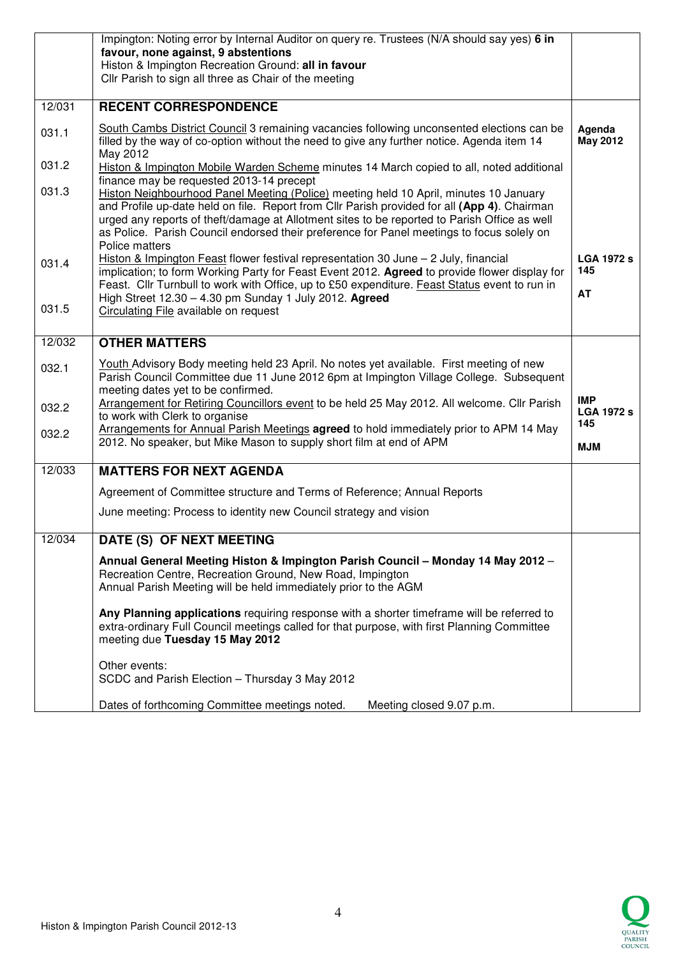|        | Impington: Noting error by Internal Auditor on query re. Trustees (N/A should say yes) 6 in<br>favour, none against, 9 abstentions                                                                                                                                                                                                                                                                                                               |                                        |
|--------|--------------------------------------------------------------------------------------------------------------------------------------------------------------------------------------------------------------------------------------------------------------------------------------------------------------------------------------------------------------------------------------------------------------------------------------------------|----------------------------------------|
|        | Histon & Impington Recreation Ground: all in favour<br>Cllr Parish to sign all three as Chair of the meeting                                                                                                                                                                                                                                                                                                                                     |                                        |
| 12/031 | <b>RECENT CORRESPONDENCE</b>                                                                                                                                                                                                                                                                                                                                                                                                                     |                                        |
| 031.1  | South Cambs District Council 3 remaining vacancies following unconsented elections can be<br>filled by the way of co-option without the need to give any further notice. Agenda item 14<br>May 2012                                                                                                                                                                                                                                              | Agenda<br><b>May 2012</b>              |
| 031.2  | Histon & Impington Mobile Warden Scheme minutes 14 March copied to all, noted additional                                                                                                                                                                                                                                                                                                                                                         |                                        |
| 031.3  | finance may be requested 2013-14 precept<br>Histon Neighbourhood Panel Meeting (Police) meeting held 10 April, minutes 10 January<br>and Profile up-date held on file. Report from Cllr Parish provided for all (App 4). Chairman<br>urged any reports of theft/damage at Allotment sites to be reported to Parish Office as well<br>as Police. Parish Council endorsed their preference for Panel meetings to focus solely on<br>Police matters |                                        |
| 031.4  | Histon & Impington Feast flower festival representation 30 June $-$ 2 July, financial<br>implication; to form Working Party for Feast Event 2012. Agreed to provide flower display for                                                                                                                                                                                                                                                           | <b>LGA 1972 s</b><br>145               |
| 031.5  | Feast. Cllr Turnbull to work with Office, up to £50 expenditure. Feast Status event to run in<br>High Street 12.30 - 4.30 pm Sunday 1 July 2012. Agreed<br>Circulating File available on request                                                                                                                                                                                                                                                 | <b>AT</b>                              |
| 12/032 | <b>OTHER MATTERS</b>                                                                                                                                                                                                                                                                                                                                                                                                                             |                                        |
| 032.1  | Youth Advisory Body meeting held 23 April. No notes yet available. First meeting of new<br>Parish Council Committee due 11 June 2012 6pm at Impington Village College. Subsequent<br>meeting dates yet to be confirmed.                                                                                                                                                                                                                          |                                        |
| 032.2  | Arrangement for Retiring Councillors event to be held 25 May 2012. All welcome. Cllr Parish<br>to work with Clerk to organise                                                                                                                                                                                                                                                                                                                    | <b>IMP</b><br><b>LGA 1972 s</b><br>145 |
| 032.2  | Arrangements for Annual Parish Meetings agreed to hold immediately prior to APM 14 May<br>2012. No speaker, but Mike Mason to supply short film at end of APM                                                                                                                                                                                                                                                                                    | <b>MJM</b>                             |
| 12/033 | <b>MATTERS FOR NEXT AGENDA</b>                                                                                                                                                                                                                                                                                                                                                                                                                   |                                        |
|        | Agreement of Committee structure and Terms of Reference; Annual Reports                                                                                                                                                                                                                                                                                                                                                                          |                                        |
|        | June meeting: Process to identity new Council strategy and vision                                                                                                                                                                                                                                                                                                                                                                                |                                        |
| 12/034 | DATE (S) OF NEXT MEETING                                                                                                                                                                                                                                                                                                                                                                                                                         |                                        |
|        | Annual General Meeting Histon & Impington Parish Council - Monday 14 May 2012 -<br>Recreation Centre, Recreation Ground, New Road, Impington<br>Annual Parish Meeting will be held immediately prior to the AGM                                                                                                                                                                                                                                  |                                        |
|        | Any Planning applications requiring response with a shorter timeframe will be referred to<br>extra-ordinary Full Council meetings called for that purpose, with first Planning Committee<br>meeting due Tuesday 15 May 2012                                                                                                                                                                                                                      |                                        |
|        | Other events:<br>SCDC and Parish Election - Thursday 3 May 2012                                                                                                                                                                                                                                                                                                                                                                                  |                                        |
|        | Dates of forthcoming Committee meetings noted.<br>Meeting closed 9.07 p.m.                                                                                                                                                                                                                                                                                                                                                                       |                                        |

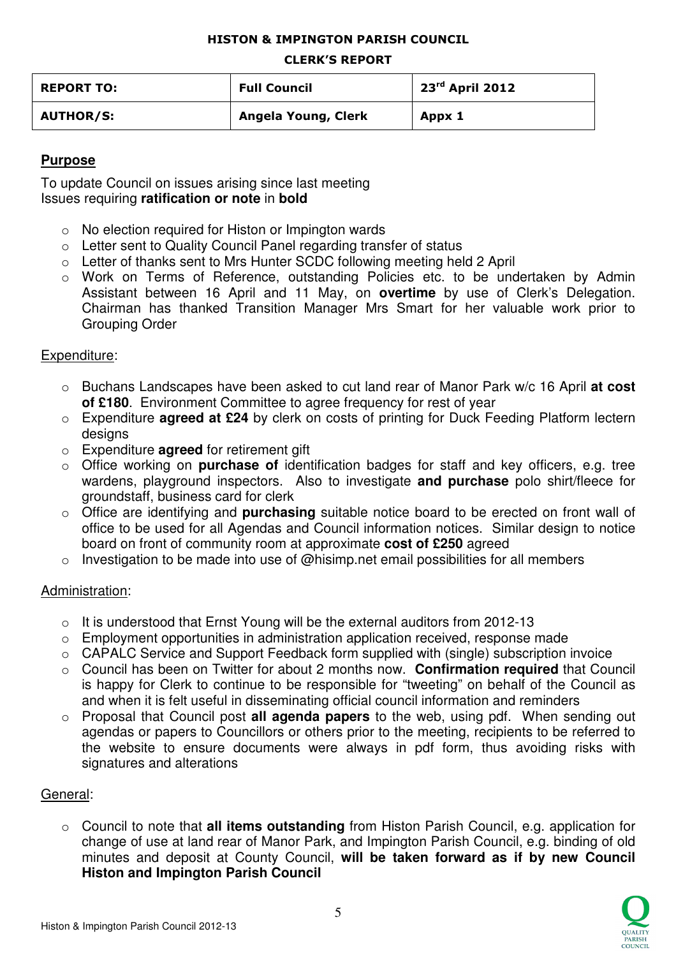### HISTON & IMPINGTON PARISH COUNCIL

#### CLERK'S REPORT

| <b>REPORT TO:</b> | <b>Full Council</b> | 23 <sup>rd</sup> April 2012 |
|-------------------|---------------------|-----------------------------|
| <b>AUTHOR/S:</b>  | Angela Young, Clerk | Appx 1                      |

# **Purpose**

To update Council on issues arising since last meeting Issues requiring **ratification or note** in **bold**

- o No election required for Histon or Impington wards
- o Letter sent to Quality Council Panel regarding transfer of status
- o Letter of thanks sent to Mrs Hunter SCDC following meeting held 2 April
- o Work on Terms of Reference, outstanding Policies etc. to be undertaken by Admin Assistant between 16 April and 11 May, on **overtime** by use of Clerk's Delegation. Chairman has thanked Transition Manager Mrs Smart for her valuable work prior to Grouping Order

# Expenditure:

- o Buchans Landscapes have been asked to cut land rear of Manor Park w/c 16 April **at cost of £180**. Environment Committee to agree frequency for rest of year
- o Expenditure **agreed at £24** by clerk on costs of printing for Duck Feeding Platform lectern designs
- o Expenditure **agreed** for retirement gift
- o Office working on **purchase of** identification badges for staff and key officers, e.g. tree wardens, playground inspectors. Also to investigate **and purchase** polo shirt/fleece for groundstaff, business card for clerk
- o Office are identifying and **purchasing** suitable notice board to be erected on front wall of office to be used for all Agendas and Council information notices. Similar design to notice board on front of community room at approximate **cost of £250** agreed
- $\circ$  Investigation to be made into use of @hisimp.net email possibilities for all members

# Administration:

- $\circ$  It is understood that Ernst Young will be the external auditors from 2012-13
- o Employment opportunities in administration application received, response made
- o CAPALC Service and Support Feedback form supplied with (single) subscription invoice
- o Council has been on Twitter for about 2 months now. **Confirmation required** that Council is happy for Clerk to continue to be responsible for "tweeting" on behalf of the Council as and when it is felt useful in disseminating official council information and reminders
- o Proposal that Council post **all agenda papers** to the web, using pdf. When sending out agendas or papers to Councillors or others prior to the meeting, recipients to be referred to the website to ensure documents were always in pdf form, thus avoiding risks with signatures and alterations

# General:

o Council to note that **all items outstanding** from Histon Parish Council, e.g. application for change of use at land rear of Manor Park, and Impington Parish Council, e.g. binding of old minutes and deposit at County Council, **will be taken forward as if by new Council Histon and Impington Parish Council** 

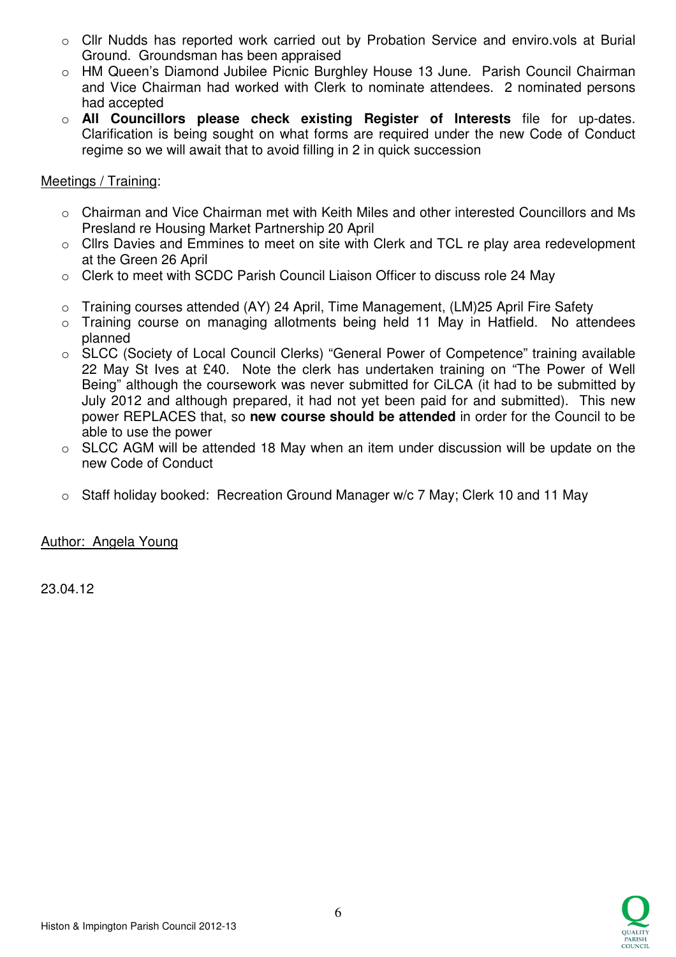- o Cllr Nudds has reported work carried out by Probation Service and enviro.vols at Burial Ground. Groundsman has been appraised
- o HM Queen's Diamond Jubilee Picnic Burghley House 13 June. Parish Council Chairman and Vice Chairman had worked with Clerk to nominate attendees. 2 nominated persons had accepted
- o **All Councillors please check existing Register of Interests** file for up-dates. Clarification is being sought on what forms are required under the new Code of Conduct regime so we will await that to avoid filling in 2 in quick succession

## Meetings / Training:

- o Chairman and Vice Chairman met with Keith Miles and other interested Councillors and Ms Presland re Housing Market Partnership 20 April
- o Cllrs Davies and Emmines to meet on site with Clerk and TCL re play area redevelopment at the Green 26 April
- o Clerk to meet with SCDC Parish Council Liaison Officer to discuss role 24 May
- o Training courses attended (AY) 24 April, Time Management, (LM)25 April Fire Safety
- o Training course on managing allotments being held 11 May in Hatfield. No attendees planned
- o SLCC (Society of Local Council Clerks) "General Power of Competence" training available 22 May St Ives at £40. Note the clerk has undertaken training on "The Power of Well Being" although the coursework was never submitted for CiLCA (it had to be submitted by July 2012 and although prepared, it had not yet been paid for and submitted). This new power REPLACES that, so **new course should be attended** in order for the Council to be able to use the power
- o SLCC AGM will be attended 18 May when an item under discussion will be update on the new Code of Conduct
- o Staff holiday booked: Recreation Ground Manager w/c 7 May; Clerk 10 and 11 May

# Author: Angela Young

23.04.12

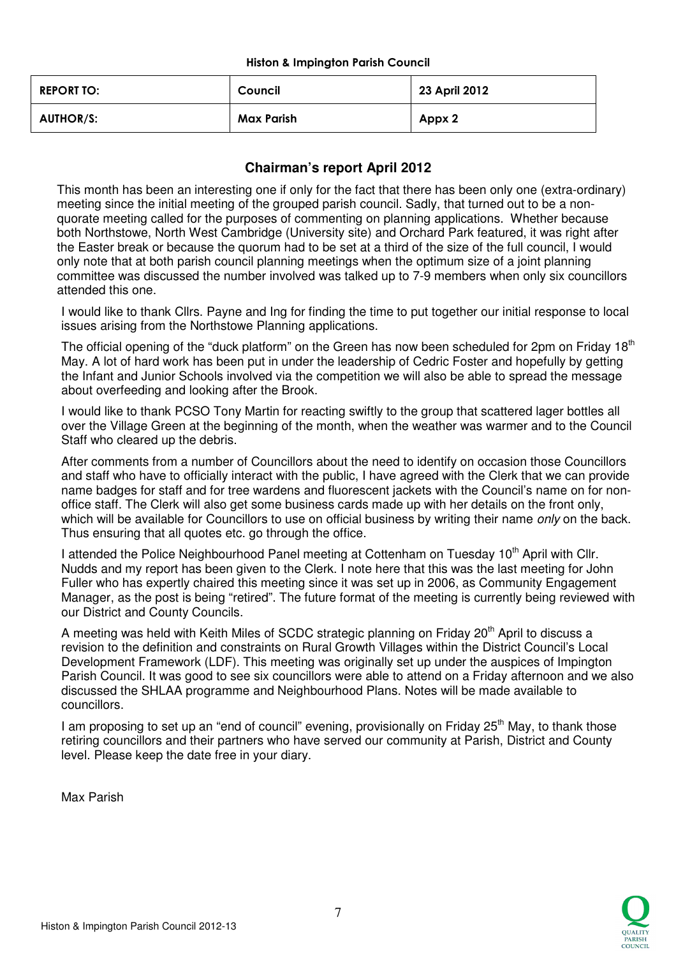#### Histon & Impington Parish Council

| <b>REPORT TO:</b> | Council    | 23 April 2012 |
|-------------------|------------|---------------|
| <b>AUTHOR/S:</b>  | Max Parish | Appx 2        |

# **Chairman's report April 2012**

This month has been an interesting one if only for the fact that there has been only one (extra-ordinary) meeting since the initial meeting of the grouped parish council. Sadly, that turned out to be a nonquorate meeting called for the purposes of commenting on planning applications. Whether because both Northstowe, North West Cambridge (University site) and Orchard Park featured, it was right after the Easter break or because the quorum had to be set at a third of the size of the full council, I would only note that at both parish council planning meetings when the optimum size of a joint planning committee was discussed the number involved was talked up to 7-9 members when only six councillors attended this one.

I would like to thank Cllrs. Payne and Ing for finding the time to put together our initial response to local issues arising from the Northstowe Planning applications.

The official opening of the "duck platform" on the Green has now been scheduled for 2pm on Friday 18<sup>th</sup> May. A lot of hard work has been put in under the leadership of Cedric Foster and hopefully by getting the Infant and Junior Schools involved via the competition we will also be able to spread the message about overfeeding and looking after the Brook.

I would like to thank PCSO Tony Martin for reacting swiftly to the group that scattered lager bottles all over the Village Green at the beginning of the month, when the weather was warmer and to the Council Staff who cleared up the debris.

After comments from a number of Councillors about the need to identify on occasion those Councillors and staff who have to officially interact with the public, I have agreed with the Clerk that we can provide name badges for staff and for tree wardens and fluorescent jackets with the Council's name on for nonoffice staff. The Clerk will also get some business cards made up with her details on the front only, which will be available for Councillors to use on official business by writing their name *only* on the back. Thus ensuring that all quotes etc. go through the office.

I attended the Police Neighbourhood Panel meeting at Cottenham on Tuesday 10<sup>th</sup> April with Cllr. Nudds and my report has been given to the Clerk. I note here that this was the last meeting for John Fuller who has expertly chaired this meeting since it was set up in 2006, as Community Engagement Manager, as the post is being "retired". The future format of the meeting is currently being reviewed with our District and County Councils.

A meeting was held with Keith Miles of SCDC strategic planning on Friday 20<sup>th</sup> April to discuss a revision to the definition and constraints on Rural Growth Villages within the District Council's Local Development Framework (LDF). This meeting was originally set up under the auspices of Impington Parish Council. It was good to see six councillors were able to attend on a Friday afternoon and we also discussed the SHLAA programme and Neighbourhood Plans. Notes will be made available to councillors.

I am proposing to set up an "end of council" evening, provisionally on Friday  $25<sup>th</sup>$  May, to thank those retiring councillors and their partners who have served our community at Parish, District and County level. Please keep the date free in your diary.

Max Parish

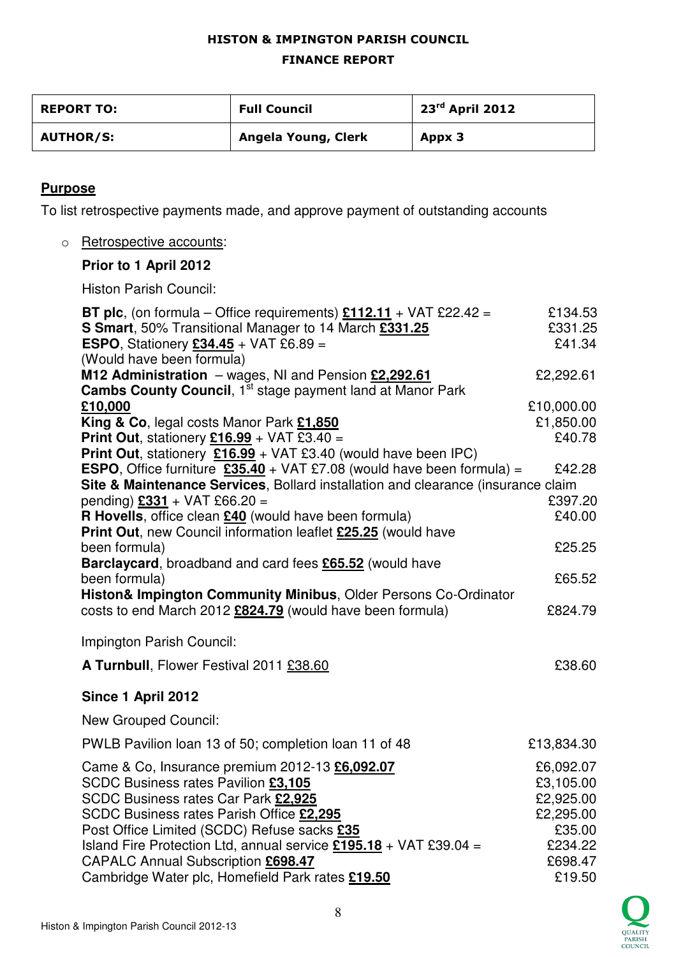# HISTON & IMPINGTON PARISH COUNCIL

### FINANCE REPORT

| <b>REPORT TO:</b> | <b>Full Council</b> | 23 <sup>rd</sup> April 2012 |
|-------------------|---------------------|-----------------------------|
| <b>AUTHOR/S:</b>  | Angela Young, Clerk | Appx 3                      |

# **Purpose**

To list retrospective payments made, and approve payment of outstanding accounts

o Retrospective accounts:

## **Prior to 1 April 2012**

Histon Parish Council:

| <b>BT plc</b> , (on formula – Office requirements) $£112.11 + VAT £22.42 =$                                                         | £134.53                             |
|-------------------------------------------------------------------------------------------------------------------------------------|-------------------------------------|
| S Smart, 50% Transitional Manager to 14 March £331.25                                                                               | £331.25                             |
| <b>ESPO, Stationery £34.45 + VAT £6.89 =</b>                                                                                        | £41.34                              |
| (Would have been formula)                                                                                                           |                                     |
| M12 Administration - wages, NI and Pension £2,292.61                                                                                | £2,292.61                           |
| <b>Cambs County Council, 1st stage payment land at Manor Park</b>                                                                   |                                     |
| £10,000                                                                                                                             | £10,000.00                          |
| King & Co, legal costs Manor Park £1,850                                                                                            | £1,850.00                           |
| Print Out, stationery $£16.99 +$ VAT £3.40 =                                                                                        | £40.78                              |
| Print Out, stationery £16.99 + VAT £3.40 (would have been IPC)                                                                      |                                     |
| <b>ESPO,</b> Office furniture $\frac{235.40}{2}$ + VAT £7.08 (would have been formula) =                                            | £42.28                              |
| Site & Maintenance Services, Bollard installation and clearance (insurance claim                                                    |                                     |
| pending) £331 + VAT £66.20 =                                                                                                        | £397.20                             |
| R Hovells, office clean £40 (would have been formula)                                                                               | £40.00                              |
| Print Out, new Council information leaflet £25.25 (would have                                                                       |                                     |
| been formula)                                                                                                                       | £25.25                              |
| Barclaycard, broadband and card fees £65.52 (would have                                                                             |                                     |
| been formula)                                                                                                                       | £65.52                              |
| Histon& Impington Community Minibus, Older Persons Co-Ordinator<br>costs to end March 2012 £824.79 (would have been formula)        | £824.79                             |
| Impington Parish Council:                                                                                                           |                                     |
| A Turnbull, Flower Festival 2011 £38.60                                                                                             | £38.60                              |
| Since 1 April 2012                                                                                                                  |                                     |
| <b>New Grouped Council:</b>                                                                                                         |                                     |
| PWLB Pavilion loan 13 of 50; completion loan 11 of 48                                                                               | £13,834.30                          |
| Came & Co, Insurance premium 2012-13 £6,092.07<br><b>SCDC Business rates Pavilion £3,105</b><br>SCDC Business rates Car Park £2,925 | £6,092.07<br>£3,105.00<br>£2,925.00 |
| SCDC Business rates Parish Office £2,295                                                                                            | £2,295.00                           |
| Post Office Limited (SCDC) Refuse sacks £35                                                                                         | £35.00                              |
| Island Fire Protection Ltd, annual service $£195.18 + VAT £39.04 =$                                                                 | £234.22                             |
| CAPALC Annual Subscription £698.47                                                                                                  | £698.47                             |
| Cambridge Water plc, Homefield Park rates £19.50                                                                                    | £19.50                              |
|                                                                                                                                     |                                     |

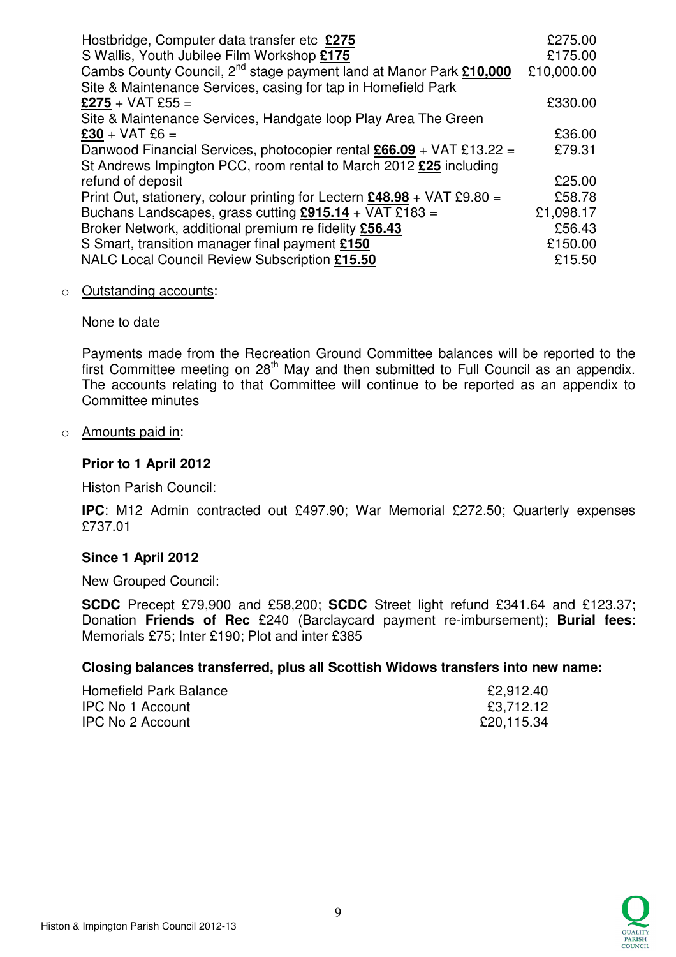| Hostbridge, Computer data transfer etc £275                                    | £275.00    |
|--------------------------------------------------------------------------------|------------|
| S Wallis, Youth Jubilee Film Workshop £175                                     | £175.00    |
| Cambs County Council, 2 <sup>nd</sup> stage payment land at Manor Park £10,000 | £10,000.00 |
| Site & Maintenance Services, casing for tap in Homefield Park                  |            |
| $$275 + VAT $55 =$                                                             | £330.00    |
| Site & Maintenance Services, Handgate loop Play Area The Green                 |            |
| $£30 + VAT £6 =$                                                               | £36.00     |
| Danwood Financial Services, photocopier rental $£66.09 + VAT £13.22 =$         | £79.31     |
| St Andrews Impington PCC, room rental to March 2012 £25 including              |            |
| refund of deposit                                                              | £25.00     |
| Print Out, stationery, colour printing for Lectern £48.98 + VAT £9.80 =        | £58.78     |
| Buchans Landscapes, grass cutting $£915.14 + VAT £183 =$                       | £1,098.17  |
| Broker Network, additional premium re fidelity £56.43                          | £56.43     |
| S Smart, transition manager final payment £150                                 | £150.00    |
| NALC Local Council Review Subscription £15.50                                  | £15.50     |

#### o Outstanding accounts:

None to date

Payments made from the Recreation Ground Committee balances will be reported to the first Committee meeting on 28<sup>th</sup> May and then submitted to Full Council as an appendix. The accounts relating to that Committee will continue to be reported as an appendix to Committee minutes

### o Amounts paid in:

### **Prior to 1 April 2012**

Histon Parish Council:

**IPC**: M12 Admin contracted out £497.90; War Memorial £272.50; Quarterly expenses £737.01

### **Since 1 April 2012**

New Grouped Council:

**SCDC** Precept £79,900 and £58,200; **SCDC** Street light refund £341.64 and £123.37; Donation **Friends of Rec** £240 (Barclaycard payment re-imbursement); **Burial fees**: Memorials £75; Inter £190; Plot and inter £385

### **Closing balances transferred, plus all Scottish Widows transfers into new name:**

| Homefield Park Balance  | £2,912.40  |
|-------------------------|------------|
| <b>IPC No 1 Account</b> | £3,712.12  |
| <b>IPC No 2 Account</b> | £20,115.34 |